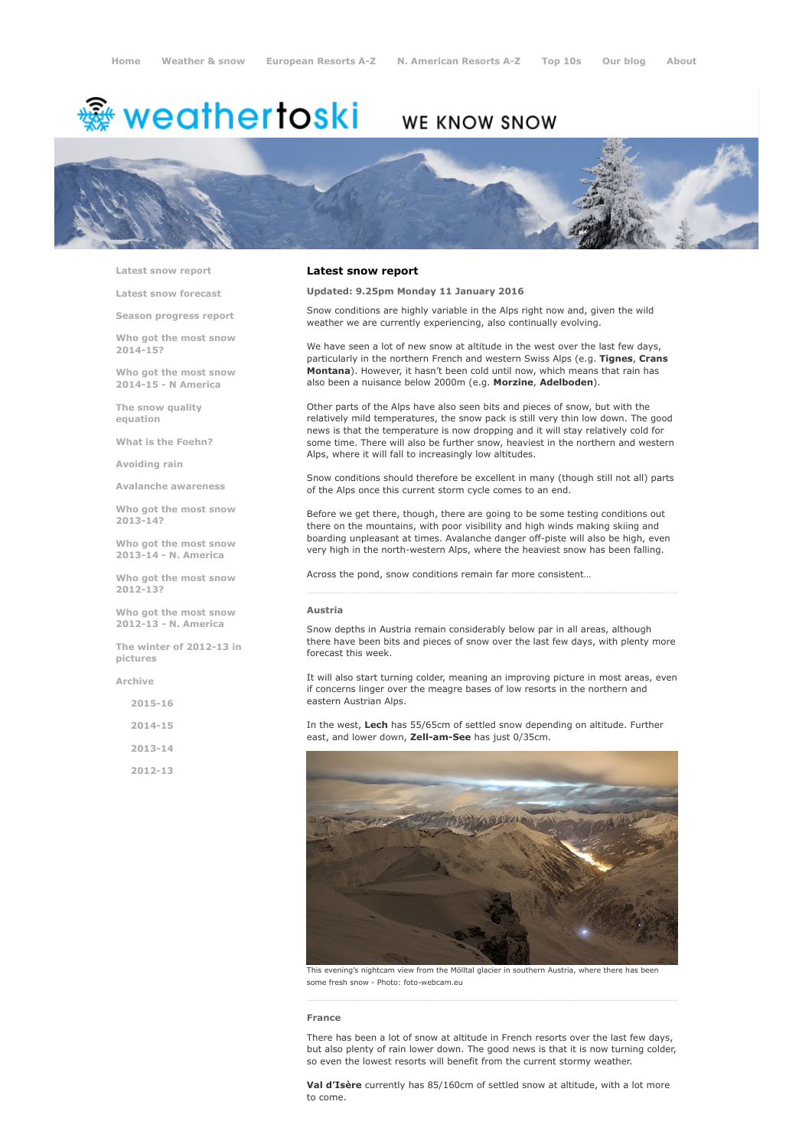# <sup>霧</sup> weathertoski

# WE KNOW SNOW



Latest snow [report](http://www.weathertoski.co.uk/weather-snow/latest-snow-report/)

Latest snow [forecast](http://www.weathertoski.co.uk/weather-snow/latest-snow-forecast/)

Season [progress](http://www.weathertoski.co.uk/weather-snow/season-progress-report/) report

Who got the most snow 2014-15?

Who got the most snow 2014-15 - N America

The snow quality [equation](http://www.weathertoski.co.uk/weather-snow/the-snow-quality-equation/)

What is the [Foehn?](http://www.weathertoski.co.uk/weather-snow/what-is-the-foehn/)

[Avoiding](http://www.weathertoski.co.uk/weather-snow/avoiding-rain/) rain

Avalanche [awareness](http://www.weathertoski.co.uk/weather-snow/avalanche-awareness/)

Who got the most snow 2013-14?

Who got the most snow 2013-14 - N. America

Who got the most snow 2012-13?

Who got the most snow 2012-13 - N. America

The winter of 2012-13 in pictures

[Archive](http://www.weathertoski.co.uk/weather-snow/archive/)

2015-16

2014-15

2013-14

2012-13

### Latest snow report

Updated: 9.25pm Monday 11 January 2016

Snow conditions are highly variable in the Alps right now and, given the wild weather we are currently experiencing, also continually evolving.

We have seen a lot of new snow at altitude in the west over the last few days, particularly in the northern French and western Swiss Alps (e.g. Tignes, Crans Montana). However, it hasn't been cold until now, which means that rain has also been a nuisance below 2000m (e.g. Morzine, Adelboden).

Other parts of the Alps have also seen bits and pieces of snow, but with the relatively mild temperatures, the snow pack is still very thin low down. The good news is that the temperature is now dropping and it will stay relatively cold for some time. There will also be further snow, heaviest in the northern and western Alps, where it will fall to increasingly low altitudes.

Snow conditions should therefore be excellent in many (though still not all) parts of the Alps once this current storm cycle comes to an end.

Before we get there, though, there are going to be some testing conditions out there on the mountains, with poor visibility and high winds making skiing and boarding unpleasant at times. Avalanche danger off-piste will also be high, even very high in the north-western Alps, where the heaviest snow has been falling.

Across the pond, snow conditions remain far more consistent…

#### Austria

Snow depths in Austria remain considerably below par in all areas, although there have been bits and pieces of snow over the last few days, with plenty more forecast this week.

It will also start turning colder, meaning an improving picture in most areas, even if concerns linger over the meagre bases of low resorts in the northern and eastern Austrian Alps.

In the west, Lech has 55/65cm of settled snow depending on altitude. Further east, and lower down, Zell-am-See has just 0/35cm.



This evening's nightcam view from the Mölltal glacier in southern Austria, where there has been some fresh snow - Photo: foto-webcam.eu

# France

There has been a lot of snow at altitude in French resorts over the last few days, but also plenty of rain lower down. The good news is that it is now turning colder, so even the lowest resorts will benefit from the current stormy weather.

Val d'Isère currently has 85/160cm of settled snow at altitude, with a lot more to come.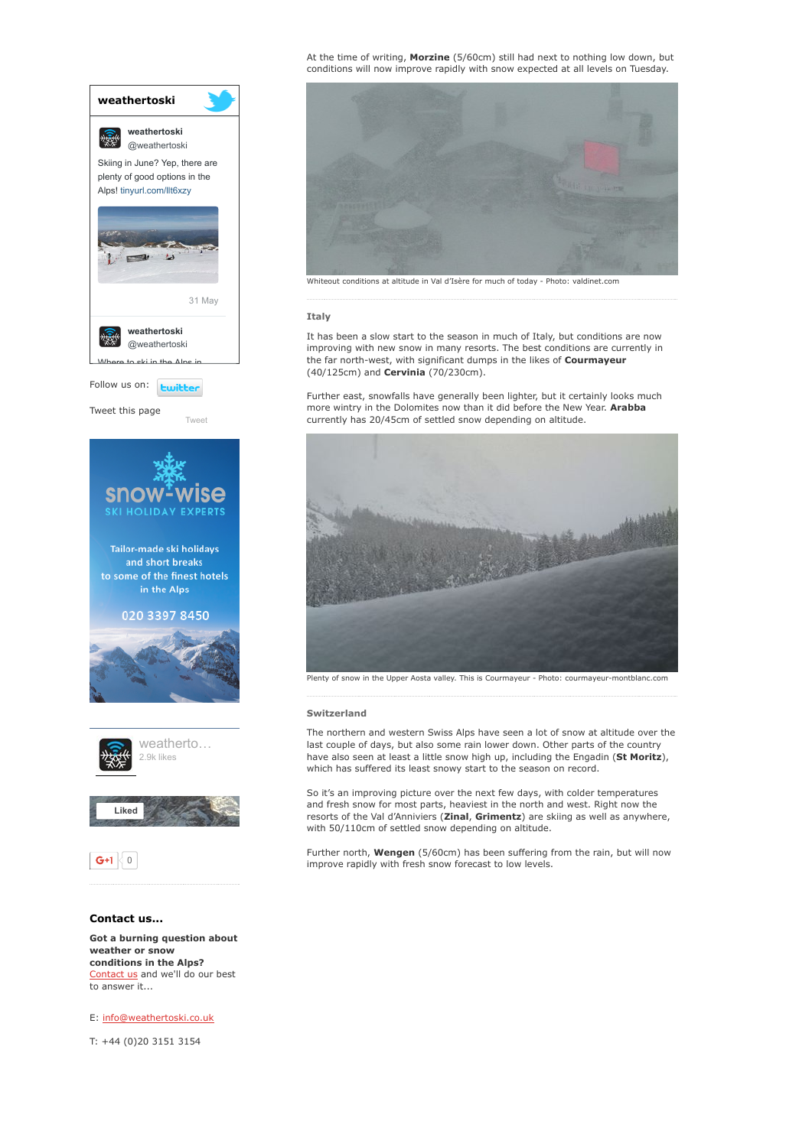

weather or snow conditions in the Alps? [Contact](http://www.weathertoski.co.uk/about-1/contact-us/) us and we'll do our best to answer it...

E: [info@weathertoski.co.uk](mailto:fraser@weathertoski.co.uk)

T: +44 (0)20 3151 3154

At the time of writing, Morzine (5/60cm) still had next to nothing low down, but conditions will now improve rapidly with snow expected at all levels on Tuesday.



## **Italy**

It has been a slow start to the season in much of Italy, but conditions are now improving with new snow in many resorts. The best conditions are currently in the far north-west, with significant dumps in the likes of Courmayeur (40/125cm) and Cervinia (70/230cm).

Further east, snowfalls have generally been lighter, but it certainly looks much more wintry in the Dolomites now than it did before the New Year. Arabba currently has 20/45cm of settled snow depending on altitude.



Plenty of snow in the Upper Aosta valley. This is Courmayeur - Photo: courmayeur-montblanc.com

#### Switzerland

The northern and western Swiss Alps have seen a lot of snow at altitude over the last couple of days, but also some rain lower down. Other parts of the country have also seen at least a little snow high up, including the Engadin (St Moritz), which has suffered its least snowy start to the season on record.

So it's an improving picture over the next few days, with colder temperatures and fresh snow for most parts, heaviest in the north and west. Right now the resorts of the Val d'Anniviers (Zinal, Grimentz) are skiing as well as anywhere, with 50/110cm of settled snow depending on altitude.

Further north, Wengen (5/60cm) has been suffering from the rain, but will now improve rapidly with fresh snow forecast to low levels.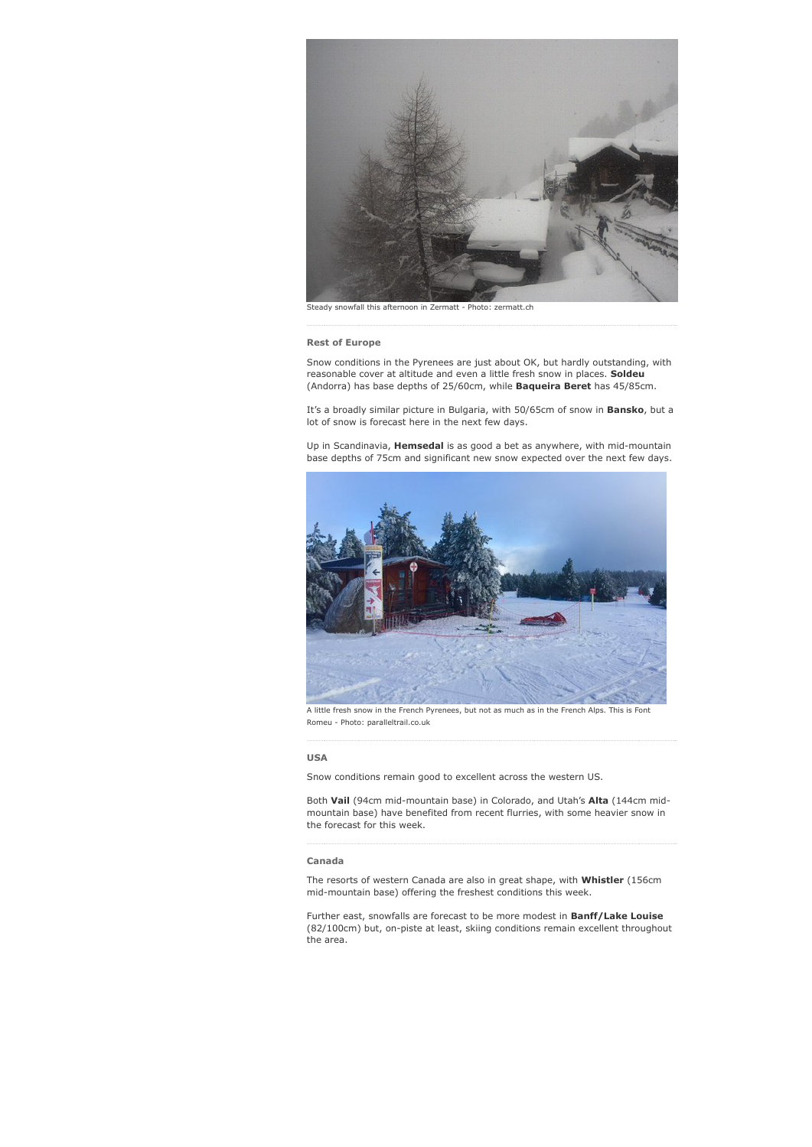

Steady snowfall this afternoon in Zermatt - Photo: zermatt.ch

#### Rest of Europe

Snow conditions in the Pyrenees are just about OK, but hardly outstanding, with reasonable cover at altitude and even a little fresh snow in places. Soldeu (Andorra) has base depths of 25/60cm, while Baqueira Beret has 45/85cm.

It's a broadly similar picture in Bulgaria, with 50/65cm of snow in Bansko, but a lot of snow is forecast here in the next few days.

Up in Scandinavia, Hemsedal is as good a bet as anywhere, with mid-mountain base depths of 75cm and significant new snow expected over the next few days.



A little fresh snow in the French Pyrenees, but not as much as in the French Alps. This is Font Romeu - Photo: paralleltrail.co.uk

## USA

Snow conditions remain good to excellent across the western US.

Both Vail (94cm mid-mountain base) in Colorado, and Utah's Alta (144cm midmountain base) have benefited from recent flurries, with some heavier snow in the forecast for this week.

#### Canada

The resorts of western Canada are also in great shape, with Whistler (156cm mid-mountain base) offering the freshest conditions this week.

Further east, snowfalls are forecast to be more modest in Banff/Lake Louise (82/100cm) but, on-piste at least, skiing conditions remain excellent throughout the area.